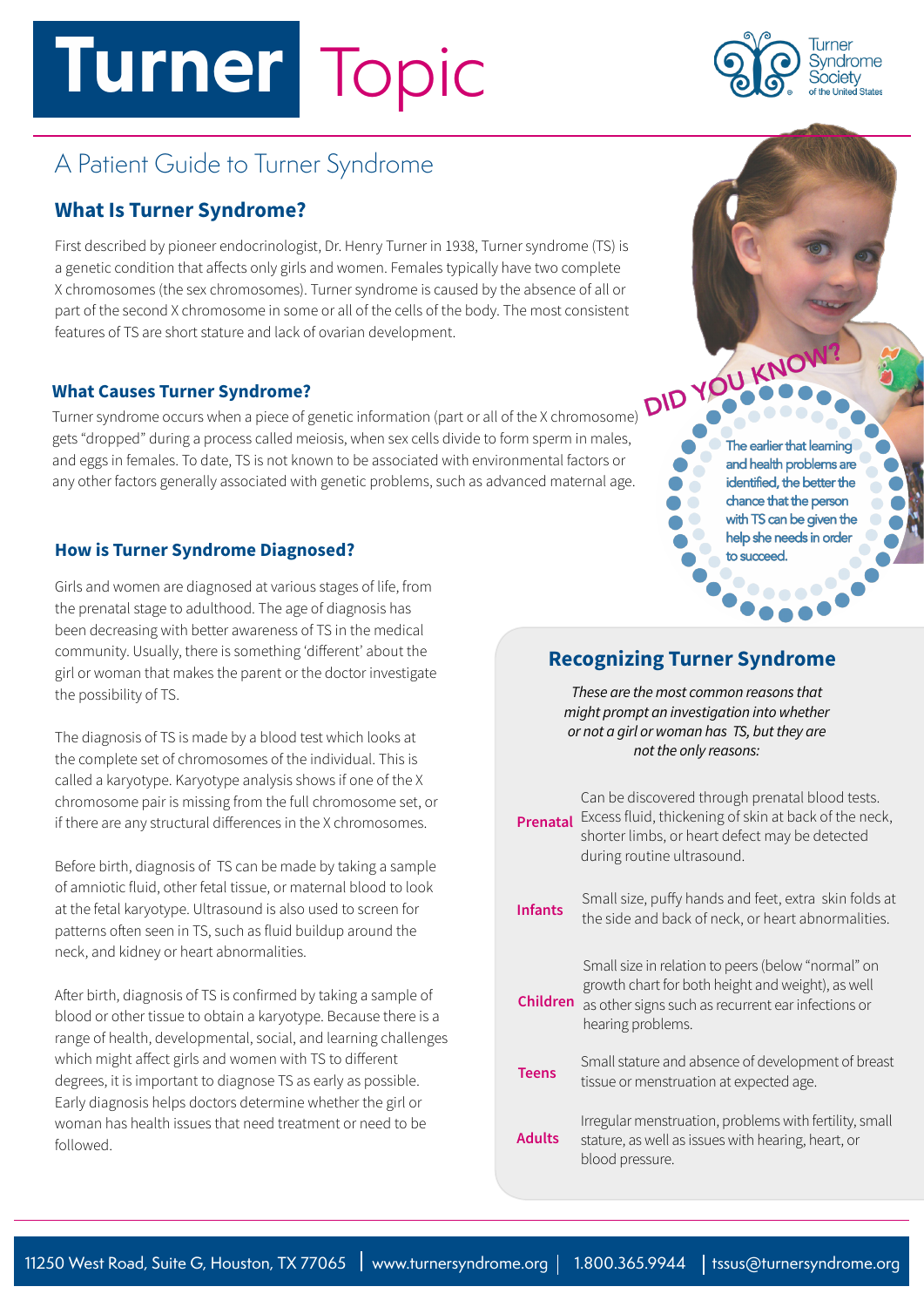# **Turner** Topic



## A Patient Guide to Turner Syndrome

#### **What Is Turner Syndrome?**

First described by pioneer endocrinologist, Dr. Henry Turner in 1938, Turner syndrome (TS) is a genetic condition that affects only girls and women. Females typically have two complete X chromosomes (the sex chromosomes). Turner syndrome is caused by the absence of all or part of the second X chromosome in some or all of the cells of the body. The most consistent features of TS are short stature and lack of ovarian development.

#### **What Causes Turner Syndrome?**

Turner syndrome occurs when a piece of genetic information (part or all of the X chromosome) gets "dropped" during a process called meiosis, when sex cells divide to form sperm in males, and eggs in females. To date, TS is not known to be associated with environmental factors or any other factors generally associated with genetic problems, such as advanced maternal age.

#### **How is Turner Syndrome Diagnosed?**

Girls and women are diagnosed at various stages of life, from the prenatal stage to adulthood. The age of diagnosis has been decreasing with better awareness of TS in the medical community. Usually, there is something 'different' about the girl or woman that makes the parent or the doctor investigate the possibility of TS.

The diagnosis of TS is made by a blood test which looks at the complete set of chromosomes of the individual. This is called a karyotype. Karyotype analysis shows if one of the X chromosome pair is missing from the full chromosome set, or if there are any structural differences in the X chromosomes.

Before birth, diagnosis of TS can be made by taking a sample of amniotic fluid, other fetal tissue, or maternal blood to look at the fetal karyotype. Ultrasound is also used to screen for patterns often seen in TS, such as fluid buildup around the neck, and kidney or heart abnormalities.

After birth, diagnosis of TS is confirmed by taking a sample of blood or other tissue to obtain a karyotype. Because there is a range of health, developmental, social, and learning challenges which might affect girls and women with TS to different degrees, it is important to diagnose TS as early as possible. Early diagnosis helps doctors determine whether the girl or woman has health issues that need treatment or need to be followed.

The earlier that learning and health problems are identified, the better the chance that the person with TS can be given the help she needs in order to succeed.

#### **Recognizing Turner Syndrome**

*These are the most common reasons that might prompt an investigation into whether or not a girl or woman has TS, but they are not the only reasons:*

| Prenatal       | Can be discovered through prenatal blood tests.<br>Excess fluid, thickening of skin at back of the neck,<br>shorter limbs, or heart defect may be detected<br>during routine ultrasound.           |
|----------------|----------------------------------------------------------------------------------------------------------------------------------------------------------------------------------------------------|
| <b>Infants</b> | Small size, puffy hands and feet, extra skin folds at<br>the side and back of neck, or heart abnormalities.                                                                                        |
|                | Small size in relation to peers (below "normal" on<br>growth chart for both height and weight), as well<br><b>Children</b> as other signs such as recurrent ear infections or<br>hearing problems. |
| <b>Teens</b>   | Small stature and absence of development of breast<br>tissue or menstruation at expected age.                                                                                                      |
| <b>Adults</b>  | Irregular menstruation, problems with fertility, small<br>stature, as well as issues with hearing, heart, or<br>blood pressure.                                                                    |